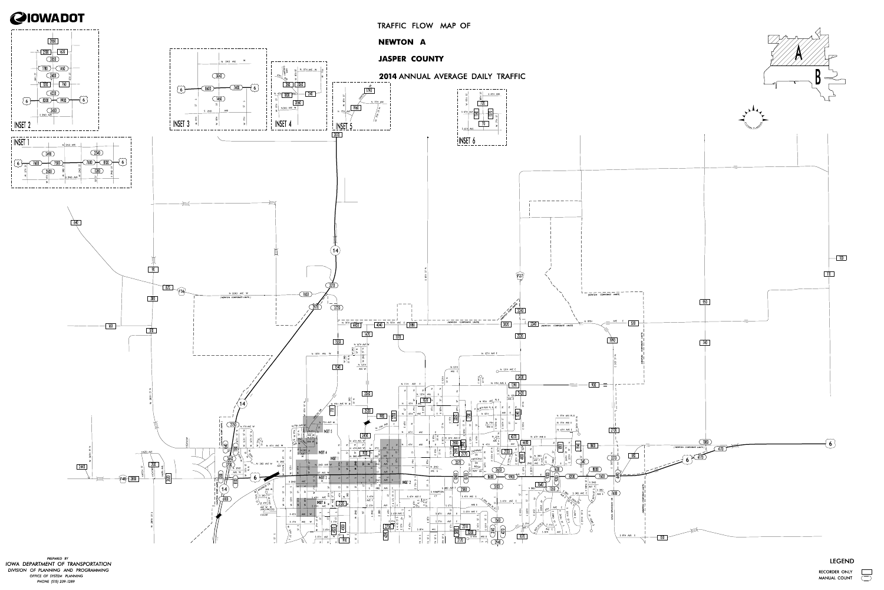## LEGEND RECORDER ONLY

MANUAL COUNT



PREPARED BY IOWA DEPARTMENT OF TRANSPORTATION PHONE (515) 239-1289 DIVISION OF PLANNING AND PROGRAMMING OFFICE OF SYSTEM PLANNING